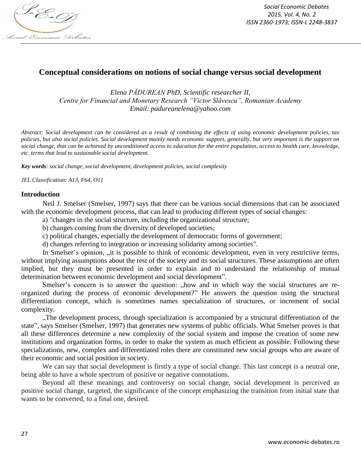

# **Conceptual considerations on notions of social change versus social development**

*Elena PĂDUREAN PhD, Scientific researcher II, Centre for Financial and Monetary Research "Victor Slăvescu", Romanian Academy Email: padureanelena@yahoo.com*

*Abstract: Social development can be considered as a result of combining the effects of using economic development policies, tax policies, but also social policies. Social development mainly needs economic support, generally, but very important is the support on social change, that can be achieved by unconditioned access to education for the entire population, access to health care, knowledge, etc. terms that lead to sustainable social development.*

*Key words: social change, social development, development policies, social complexity*

*JEL Classification: A13, F64, O11*

#### **Introduction**

Neil J. Smelser (Smelser, 1997) says that there can be various social dimensions that can be associated with the economic development process, that can lead to producing different types of social changes:

a) "changes in the social structure, including the organizational structure;

b) changes coming from the diversity of developed societies;

c) political changes, especially the development of democratic forms of government;

d) changes referring to integration or increasing solidarity among societies".

In Smelser's opinion, "it is possible to think of economic development, even in very restrictive terms, without implying assumptions about the rest of the society and its social structures. These assumptions are often implied, but they must be presented in order to explain and to understand the relationship of mutual determination between economic development and social development".

Smelser's concern is to answer the question: "how and in which way the social structures are reorganized during the process of economic development?" He answers the question using the structural differentiation concept, which is sometimes names specialization of structures, or increment of social complexity.

"The development process, through specialization is accompanied by a structural differentiation of the state", says Smelser (Smelser, 1997) that generates new systems of public officials. What Smelser proves is that all these differences determine a new complexity of the social system and impose the creation of some new institutions and organization forms, in order to make the system as much efficient as possible. Following these specializations, new, complex and differentiated roles there are constituted new social groups who are aware of their economic and social position in society.

We can say that social development is firstly a type of social change. This last concept is a neutral one, being able to have a whole spectrum of positive or negative connotations.

Beyond all these meanings and controversy on social change, social development is perceived as positive social change, targeted, the significance of the concept emphasizing the transition from initial state that wants to be converted, to a final one, desired.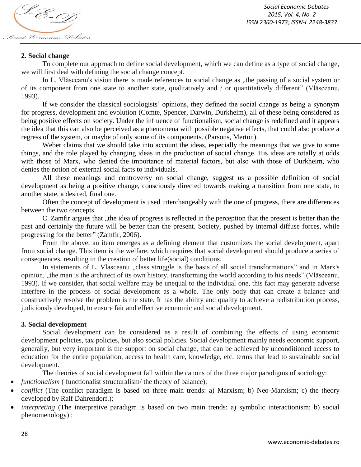

### **2. Social change**

To complete our approach to define social development, which we can define as a type of social change, we will first deal with defining the social change concept.

In L. Vlăsceanu's vision there is made references to social change as "the passing of a social system or of its component from one state to another state, qualitatively and / or quantitatively different" (Vlăsceanu, 1993).

If we consider the classical sociologists' opinions, they defined the social change as being a synonym for progress, development and evolution (Comte, Spencer, Darwin, Durkheim), all of these being considered as being positive effects on society. Under the influence of functionalism, social change is redefined and it appears the idea that this can also be perceived as a phenomena with possible negative effects, that could also produce a regress of the system, or maybe of only some of its components. (Parsons, Merton).

Weber claims that we should take into account the ideas, especially the meanings that we give to some things, and the role played by changing ideas in the production of social change. His ideas are totally at odds with those of Marx, who denied the importance of material factors, but also with those of Durkheim, who denies the notion of external social facts to individuals.

All these meanings and controversy on social change, suggest us a possible definition of social development as being a positive change, consciously directed towards making a transition from one state, to another state, a desired, final one.

Often the concept of development is used interchangeably with the one of progress, there are differences between the two concepts.

C. Zamfir argues that , the idea of progress is reflected in the perception that the present is better than the past and certainly the future will be better than the present. Society, pushed by internal diffuse forces, while progressing for the better" (Zamfir, 2006).

From the above, an item emerges as a defining element that customizes the social development, apart from social change. This item is the welfare, which requires that social development should produce a series of consequences, resulting in the creation of better life(social) conditions.

In statements of L. Vlasceanu "class struggle is the basis of all social transformations" and in Marx's opinion, "the man is the architect of its own history, transforming the world according to his needs" (Vlăsceanu, 1993). If we consider, that social welfare may be unequal to the individual one, this fact may generate adverse interfere in the process of social development as a whole. The only body that can create a balance and constructively resolve the problem is the state. It has the ability and quality to achieve a redistribution process, judiciously developed, to ensure fair and effective economic and social development.

### **3. Social development**

Social development can be considered as a result of combining the effects of using economic development policies, tax policies, but also social policies. Social development mainly needs economic support, generally, but very important is the support on social change, that can be achieved by unconditioned access to education for the entire population, access to health care, knowledge, etc. terms that lead to sustainable social development.

The theories of social development fall within the canons of the three major paradigms of sociology:

- *functionalism* (*functionalist structuralism*/*the theory of balance*);
- *conflict* (The conflict paradigm is based on three main trends: a) Marxism; b) Neo-Marxism; c) the theory developed by Ralf Dahrendorf.);
- *interpreting* (The interpretive paradigm is based on two main trends: a) symbolic interactionism; b) social phenomenology) ;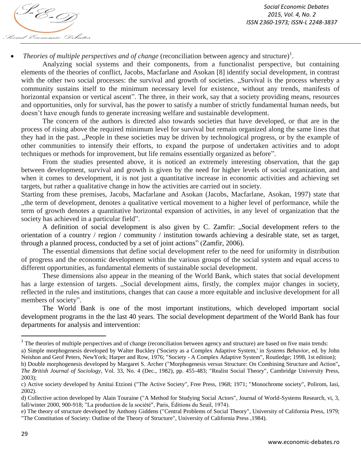

• *Theories of multiple perspectives and of change* (reconciliation between agency and structure)<sup>1</sup>.

Analyzing social systems and their components, from a functionalist perspective, but containing elements of the theories of conflict, Jacobs, Macfarlane and Asokan [8] identify social development, in contrast with the other two social processes: the survival and growth of societies. "Survival is the process whereby a community sustains itself to the minimum necessary level for existence, without any trends, manifests of horizontal expansion or vertical ascent". The three, in their work, say that a society providing means, resources and opportunities, only for survival, has the power to satisfy a number of strictly fundamental human needs, but doesn't have enough funds to generate increasing welfare and sustainable development.

The concern of the authors is directed also towards societies that have developed, or that are in the process of rising above the required minimum level for survival but remain organized along the same lines that they had in the past. "People in these societies may be driven by technological progress, or by the example of other communities to intensify their efforts, to expand the purpose of undertaken activities and to adopt techniques or methods for improvement, but life remains essentially organized as before".

From the studies presented above, it is noticed an extremely interesting observation, that the gap between development, survival and growth is given by the need for higher levels of social organization, and when it comes to development, it is not just a quantitative increase in economic activities and achieving set targets, but rather a qualitative change in how the activities are carried out in society.

Starting from these premises, Jacobs, Macfarlane and Asokan (Jacobs, Macfarlane, Asokan, 1997) state that "the term of development, denotes a qualitative vertical movement to a higher level of performance, while the term of growth denotes a quantitative horizontal expansion of activities, in any level of organization that the society has achieved in a particular field".

A definition of social development is also given by C. Zamfir: "Social development refers to the orientation of a country / region / community / institution towards achieving a desirable state, set as target, through a planned process, conducted by a set of joint actions" (Zamfir, 2006).

The essential dimensions that define social development refer to the need for uniformity in distribution of progress and the economic development within the various groups of the social system and equal access to different opportunities, as fundamental elements of sustainable social development.

These dimensions also appear in the meaning of the World Bank, which states that social development has a large extension of targets. "Social development aims, firstly, the complex major changes in society, reflected in the rules and institutions, changes that can cause a more equitable and inclusive development for all members of society".

The World Bank is one of the most important institutions, which developed important social development programs in the the last 40 years. The social development department of the World Bank has four departments for analysis and intervention:

 $\overline{a}$ 

 $1$  The theories of multiple perspectives and of change (reconciliation between agency and structure) are based on five main trends:

a) Simple morphogenesis developed by Walter Buckley ('Society as a Complex Adaptive System,' in *Systems Behavior*, ed. by John Neishon and Geof Peters, NewYork; Harper and Row, 1976; "Society - A Complex Adaptive System", Routledge; 1998, 1st edition);

b) Double morphogenesis developed by Margaret S. Archer ("Morphogenesis versus Structure: On Combining Structure and Action"**,**  *The British Journal of Sociology*, Vol. 33, No. 4 (Dec., 1982), pp. 455-483; "Realist Social Theory", Cambridge University Press, 2003);

c) Active society developed by Amitai Etzioni ("The Active Society", Free Press, 1968; 1971; "Monochrome society", Polirom, Iasi, 2002).

d) Collective action developed by Alain Touraine ("A Method for Studying Social Actors", Journal of World-Systems Research, vi, 3, fall/winter 2000, 900-918; "La production de la société", Paris, Éditions du Seuil, 1974).

e) The theory of structure developed by Anthony Giddens ("Central Problems of Social Theory", University of California Press, 1979; "The Constitution of Society: Outline of the Theory of Structure", University of California Press ,1984).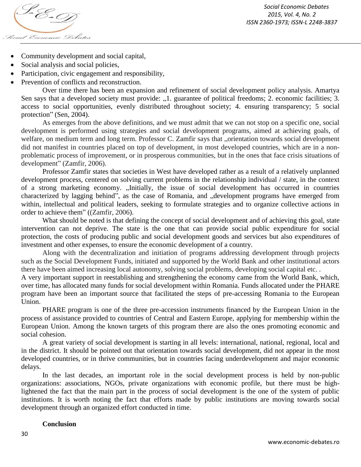

- Community development and social capital,
- Social analysis and social policies,
- Participation, civic engagement and responsibility,
- Prevention of conflicts and reconstruction.

Over time there has been an expansion and refinement of social development policy analysis. Amartya Sen says that a developed society must provide: "1. guarantee of political freedoms; 2. economic facilities; 3. access to social opportunities, evenly distributed throughout society; 4. ensuring transparency; 5 social protection" (Sen, 2004).

As emerges from the above definitions, and we must admit that we can not stop on a specific one, social development is performed using strategies and social development programs, aimed at achieving goals, of welfare, on medium term and long term. Professor C. Zamfir says that "orientation towards social development did not manifest in countries placed on top of development, in most developed countries, which are in a nonproblematic process of improvement, or in prosperous communities, but in the ones that face crisis situations of development" (Zamfir, 2006).

Professor Zamfir states that societies in West have developed rather as a result of a relatively unplanned development process, centered on solving current problems in the relationship individual / state, in the context of a strong marketing economy. "Initially, the issue of social development has occurred in countries characterized by lagging behind", as the case of Romania, and "development programs have emerged from within, intellectual and political leaders, seeking to formulate strategies and to organize collective actions in order to achieve them" ((Zamfir, 2006).

What should be noted is that defining the concept of social development and of achieving this goal, state intervention can not deprive. The state is the one that can provide social public expenditure for social protection, the costs of producing public and social development goods and services but also expenditures of investment and other expenses, to ensure the economic development of a country.

Along with the decentralization and initiation of programs addressing development through projects such as the Social Development Funds, initiated and supported by the World Bank and other institutional actors there have been aimed increasing local autonomy, solving social problems, developing social capital etc. .

A very important support in reestablishing and strengthening the economy came from the World Bank, which, over time, has allocated many funds for social development within Romania. Funds allocated under the PHARE program have been an important source that facilitated the steps of pre-accessing Romania to the European Union.

PHARE program is one of the three pre-accession instruments financed by the European Union in the process of assistance provided to countries of Central and Eastern Europe, applying for membership within the European Union. Among the known targets of this program there are also the ones promoting economic and social cohesion.

A great variety of social development is starting in all levels: international, national, regional, local and in the district. It should be pointed out that orientation towards social development, did not appear in the most developed countries, or in thrive communities, but in countries facing underdevelopment and major economic delays.

In the last decades, an important role in the social development process is held by non-public organizations: associations, NGOs, private organizations with economic profile, but there must be highlightened the fact that the main part in the process of social development is the one of the system of public institutions. It is worth noting the fact that efforts made by public institutions are moving towards social development through an organized effort conducted in time.

#### **Conclusion**